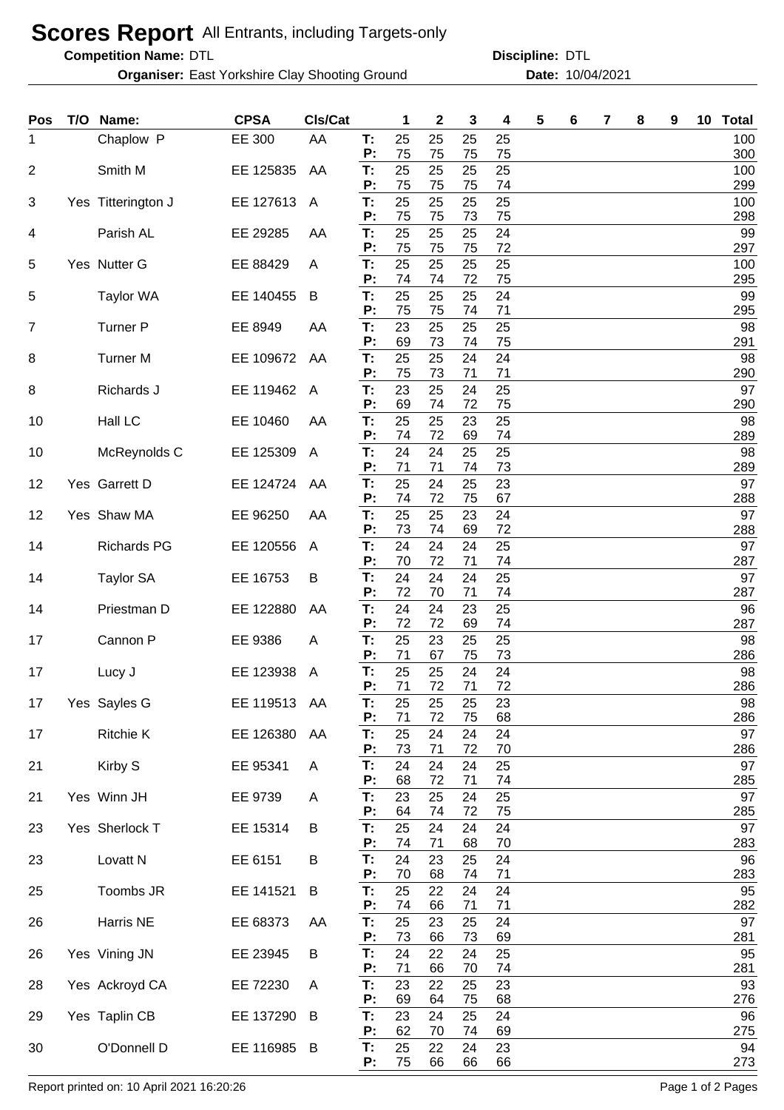## **Scores Report** All Entrants, including Targets-only

**Competition Name:**

**Organiser:** East Yorkshire Clay Shooting Ground **1004/2021 Date:** 10/04/2021

DTL DTL **Discipline:**

| Pos | T/O | Name:               | <b>CPSA</b>  | Cls/Cat                 |          | 1        | $\mathbf 2$ | 3        | 4        | 5 | 6 | 7 | 8 | 9 | 10 <sub>1</sub> | <b>Total</b> |
|-----|-----|---------------------|--------------|-------------------------|----------|----------|-------------|----------|----------|---|---|---|---|---|-----------------|--------------|
| 1   |     | Chaplow P           | EE 300       | AA                      | T:<br>P: | 25<br>75 | 25<br>75    | 25<br>75 | 25<br>75 |   |   |   |   |   |                 | 100<br>300   |
| 2   |     | Smith M             | EE 125835    | AA                      | T:       | 25       | 25          | 25       | 25       |   |   |   |   |   |                 | 100          |
| 3   |     | Yes Titterington J  | EE 127613    | $\overline{\mathsf{A}}$ | P:<br>T: | 75<br>25 | 75<br>25    | 75<br>25 | 74<br>25 |   |   |   |   |   |                 | 299<br>100   |
| 4   |     | Parish AL           | EE 29285     | AA                      | P:<br>T: | 75<br>25 | 75<br>25    | 73<br>25 | 75<br>24 |   |   |   |   |   |                 | 298<br>99    |
|     |     |                     |              |                         | P:       | 75       | 75          | 75       | 72       |   |   |   |   |   |                 | 297          |
| 5   |     | Yes Nutter G        | EE 88429     | A                       | T:<br>P: | 25<br>74 | 25<br>74    | 25<br>72 | 25<br>75 |   |   |   |   |   |                 | 100<br>295   |
| 5   |     | <b>Taylor WA</b>    | EE 140455    | B                       | T:<br>P: | 25<br>75 | 25<br>75    | 25<br>74 | 24<br>71 |   |   |   |   |   |                 | 99<br>295    |
| 7   |     | <b>Turner P</b>     | EE 8949      | AA                      | T:<br>P: | 23<br>69 | 25<br>73    | 25<br>74 | 25<br>75 |   |   |   |   |   |                 | 98<br>291    |
| 8   |     | <b>Turner M</b>     | EE 109672    | AA                      | T:       | 25       | 25          | 24       | 24       |   |   |   |   |   |                 | 98           |
| 8   |     | Richards J          | EE 119462    | A                       | Р:<br>T: | 75<br>23 | 73<br>25    | 71<br>24 | 71<br>25 |   |   |   |   |   |                 | 290<br>97    |
| 10  |     | Hall LC             | EE 10460     | AA                      | P:<br>T: | 69<br>25 | 74<br>25    | 72<br>23 | 75<br>25 |   |   |   |   |   |                 | 290<br>98    |
|     |     |                     |              |                         | P:       | 74       | 72          | 69       | 74       |   |   |   |   |   |                 | 289          |
| 10  |     | McReynolds C        | EE 125309    | A                       | T:<br>P: | 24<br>71 | 24<br>71    | 25<br>74 | 25<br>73 |   |   |   |   |   |                 | 98<br>289    |
| 12  |     | Yes Garrett D       | EE 124724    | AA                      | T:<br>P: | 25<br>74 | 24<br>72    | 25<br>75 | 23<br>67 |   |   |   |   |   |                 | 97<br>288    |
| 12  |     | Yes Shaw MA         | EE 96250     | AA                      | T:       | 25       | 25          | 23       | 24       |   |   |   |   |   |                 | 97           |
| 14  |     | <b>Richards PG</b>  | EE 120556    | A                       | P:<br>T: | 73<br>24 | 74<br>24    | 69<br>24 | 72<br>25 |   |   |   |   |   |                 | 288<br>97    |
|     |     |                     |              |                         | P:       | 70       | 72          | 71       | 74       |   |   |   |   |   |                 | 287          |
| 14  |     | <b>Taylor SA</b>    | EE 16753     | В                       | T:<br>P: | 24<br>72 | 24<br>70    | 24<br>71 | 25<br>74 |   |   |   |   |   |                 | 97<br>287    |
| 14  |     | Priestman D         | EE 122880    | AA                      | T:<br>P: | 24<br>72 | 24<br>72    | 23<br>69 | 25<br>74 |   |   |   |   |   |                 | 96<br>287    |
| 17  |     | Cannon P            | EE 9386      | A                       | T:       | 25       | 23          | 25       | 25       |   |   |   |   |   |                 | 98           |
| 17  |     | Lucy J              | EE 123938    | A                       | P:<br>T: | 71<br>25 | 67<br>25    | 75<br>24 | 73<br>24 |   |   |   |   |   |                 | 286<br>98    |
| 17  |     | Yes Sayles G        | EE 119513 AA |                         | P:<br>T: | 71<br>25 | 72<br>25    | 71<br>25 | 72<br>23 |   |   |   |   |   |                 | 286<br>98    |
| 17  |     | <b>Ritchie K</b>    | EE 126380    | AA                      | P:<br>T: | 71<br>25 | 72<br>24    | 75<br>24 | 68<br>24 |   |   |   |   |   |                 | 286<br>97    |
|     |     |                     |              |                         | P:       | 73       | 71          | 72       | 70       |   |   |   |   |   |                 | 286          |
| 21  |     | Kirby S             | EE 95341     | A                       | T.<br>P: | 24<br>68 | 24<br>72    | 24<br>71 | 25<br>74 |   |   |   |   |   |                 | 97<br>285    |
| 21  |     | Yes Winn JH         | EE 9739      | A                       | Т.<br>P: | 23<br>64 | 25<br>74    | 24<br>72 | 25<br>75 |   |   |   |   |   |                 | 97<br>285    |
| 23  |     | Yes Sherlock T      | EE 15314     | B                       | Т.       | 25       | 24          | 24       | 24       |   |   |   |   |   |                 | 97           |
| 23  |     | Lovatt <sub>N</sub> | EE 6151      | В                       | P:<br>Т. | 74<br>24 | 71<br>23    | 68<br>25 | 70<br>24 |   |   |   |   |   |                 | 283<br>96    |
| 25  |     | Toombs JR           | EE 141521    | B                       | P:<br>Т. | 70<br>25 | 68<br>22    | 74<br>24 | 71<br>24 |   |   |   |   |   |                 | 283<br>95    |
|     |     |                     |              |                         | P:       | 74       | 66          | 71       | 71       |   |   |   |   |   |                 | 282          |
| 26  |     | Harris NE           | EE 68373     | AA                      | Т.<br>P: | 25<br>73 | 23<br>66    | 25<br>73 | 24<br>69 |   |   |   |   |   |                 | 97<br>281    |
| 26  |     | Yes Vining JN       | EE 23945     | В                       | Τ.<br>P: | 24<br>71 | 22<br>66    | 24<br>70 | 25<br>74 |   |   |   |   |   |                 | 95<br>281    |
| 28  |     | Yes Ackroyd CA      | EE 72230     | A                       | Т.       | 23       | 22          | 25       | 23       |   |   |   |   |   |                 | 93           |
| 29  |     | Yes Taplin CB       | EE 137290    | B                       | P:<br>Т. | 69<br>23 | 64<br>24    | 75<br>25 | 68<br>24 |   |   |   |   |   |                 | 276<br>96    |
| 30  |     | O'Donnell D         | EE 116985 B  |                         | P:<br>T. | 62<br>25 | 70<br>22    | 74<br>24 | 69<br>23 |   |   |   |   |   |                 | 275<br>94    |
|     |     |                     |              |                         | P:       | 75       | 66          | 66       | 66       |   |   |   |   |   |                 | 273          |

Report printed on: 10 April 2021 16:20:26 Page 1 of 2 Pages